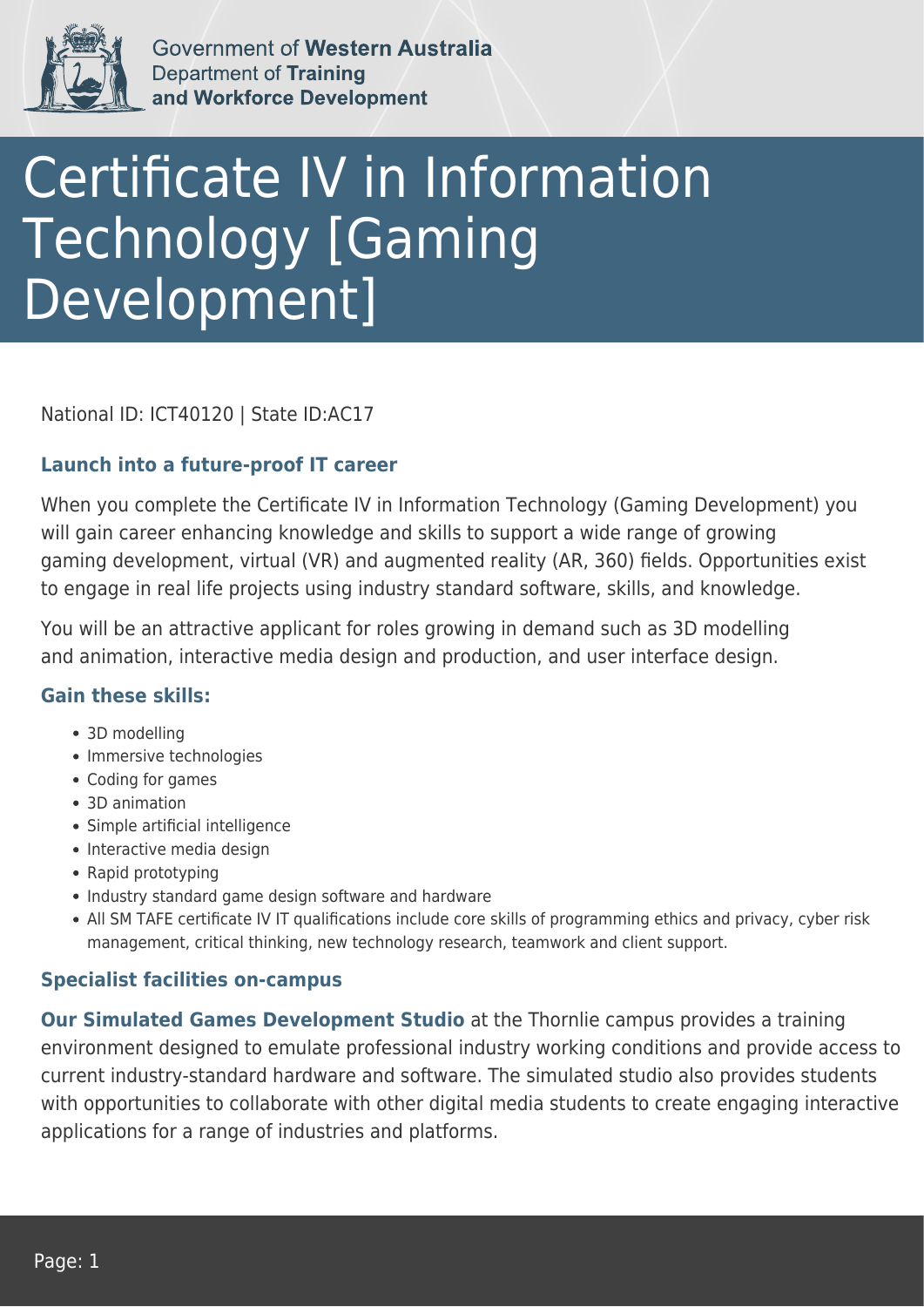

Government of Western Australia **Department of Training** and Workforce Development

# Certificate IV in Information Technology [Gaming Development]

National ID: ICT40120 | State ID:AC17

### **Launch into a future-proof IT career**

When you complete the Certificate IV in Information Technology (Gaming Development) you will gain career enhancing knowledge and skills to support a wide range of growing gaming development, virtual (VR) and augmented reality (AR, 360) fields. Opportunities exist to engage in real life projects using industry standard software, skills, and knowledge.

You will be an attractive applicant for roles growing in demand such as 3D modelling and animation, interactive media design and production, and user interface design.

#### **Gain these skills:**

- 3D modelling
- Immersive technologies
- Coding for games
- 3D animation
- Simple artificial intelligence
- Interactive media design
- Rapid prototyping
- Industry standard game design software and hardware
- All SM TAFE certificate IV IT qualifications include core skills of programming ethics and privacy, cyber risk management, critical thinking, new technology research, teamwork and client support.

## **Specialist facilities on-campus**

**Our Simulated Games Development Studio** at the Thornlie campus provides a training environment designed to emulate professional industry working conditions and provide access to current industry-standard hardware and software. The simulated studio also provides students with opportunities to collaborate with other digital media students to create engaging interactive applications for a range of industries and platforms.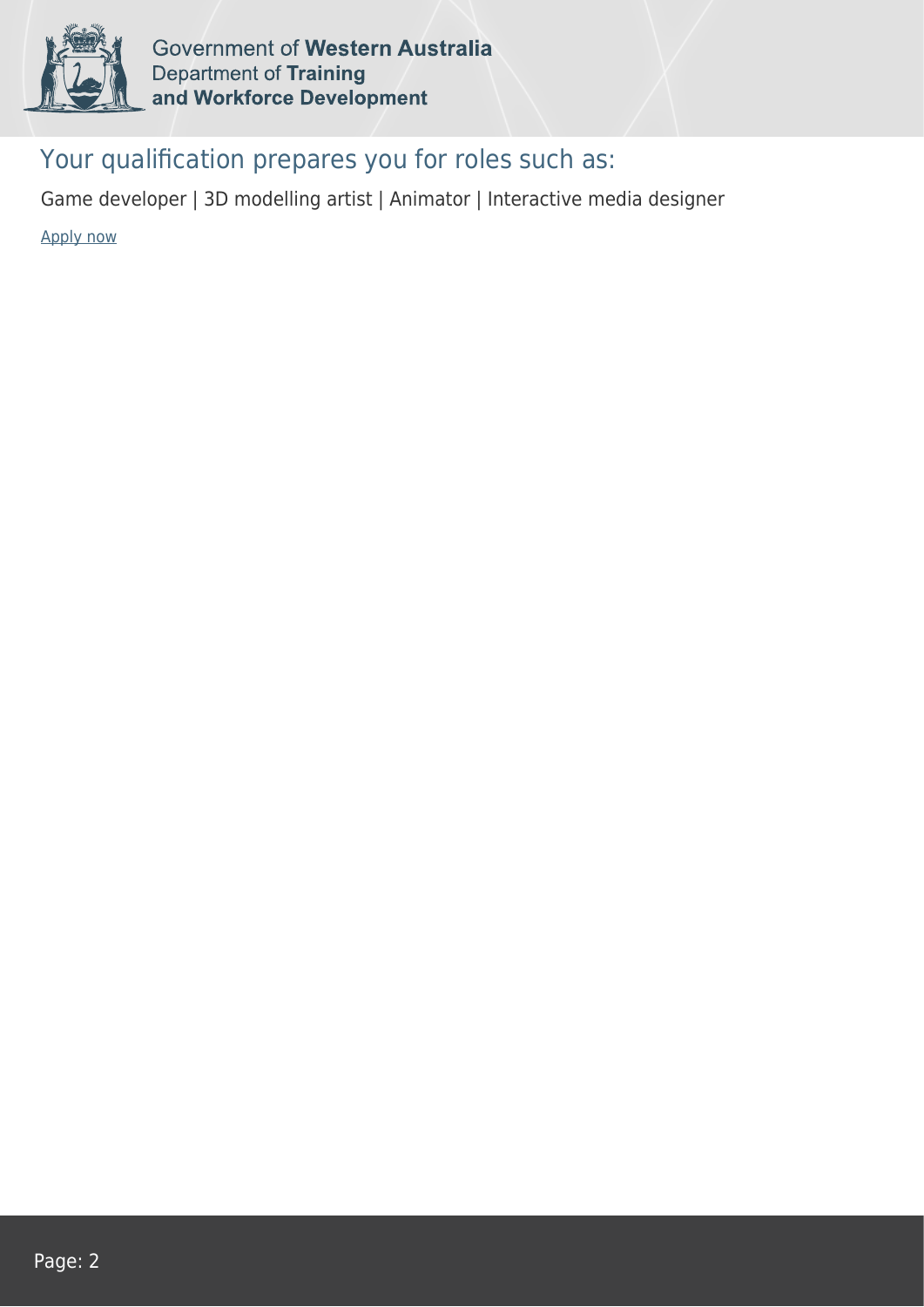

Government of Western Australia **Department of Training** and Workforce Development

# Your qualification prepares you for roles such as:

Game developer | 3D modelling artist | Animator | Interactive media designer

[Apply now](https://tasonline.tafe.wa.edu.au/Default.aspx)